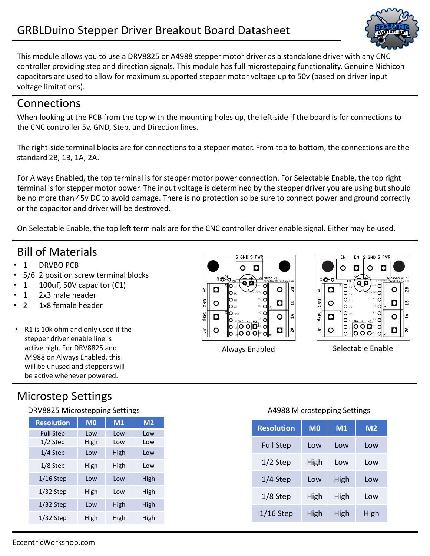

This module allows you to use a DRV8825 or A4988 stepper motor driver as a standalone driver with any CNC controller providing step and direction signals. This module has full microstepping functionality. Genuine Nichicon capacitors are used to allow for maximum supported stepper motor voltage up to 50v (based on driver input voltage limitations).

### Connections

When looking at the PCB from the top with the mounting holes up, the left side if the board is for connections to the CNC controller 5v, GND, Step, and Direction lines.

The right-side terminal blocks are for connections to a stepper motor. From top to bottom, the connections are the standard 2B, 1B, 1A, 2A.

For Always Enabled, the top terminal is for stepper motor power connection. For Selectable Enable, the top right terminal is for stepper motor power. The input voltage is determined by the stepper driver you are using but should be no more than 45v DC to avoid damage. There is no protection so be sure to connect power and ground correctly or the capacitor and driver will be destroyed.

On Selectable Enable, the top left terminals are for the CNC controller driver enable signal. Either may be used.

## Bill of Materials

- 1 DRVBO PCB
- 5/6 2 position screw terminal blocks
- 1 100uF, 50V capacitor (C1)
- 1 2x3 male header
- 2 1x8 female header
- R1 is 10k ohm and only used if the stepper driver enable line is active high. For DRV8825 and A4988 on Always Enabled, this will be unused and steppers will be active whenever powered.

# Microstep Settings

#### DRV8825 Microstepping Settings **A4988 Microstepping Settings** A4988 Microstepping Settings

| <b>Resolution</b> | M <sub>0</sub> | M1   | M <sub>2</sub> |
|-------------------|----------------|------|----------------|
| <b>Full Step</b>  | Low            | Low  | Low            |
| 1/2 Step          | High           | Low  | Low            |
| 1/4 Step          | Low            | High | Low            |
| $1/8$ Step        | High           | High | Low            |
| $1/16$ Step       | Low            | Low  | High           |
| $1/32$ Step       | High           | Low  | High           |
| $1/32$ Step       | Low            | High | High           |
| $1/32$ Step       | High           | High | High           |





Always Enabled Selectable Enable

| <b>Resolution</b> | M <sub>0</sub> | M1   | M <sub>2</sub> |
|-------------------|----------------|------|----------------|
| <b>Full Step</b>  | Low            | Low  | Low            |
| $1/2$ Step        | High           | Low  | Low            |
| $1/4$ Step        | Low            | High | Low            |
| $1/8$ Step        | High           | High | Low            |
| $1/16$ Step       | High           | High | High           |